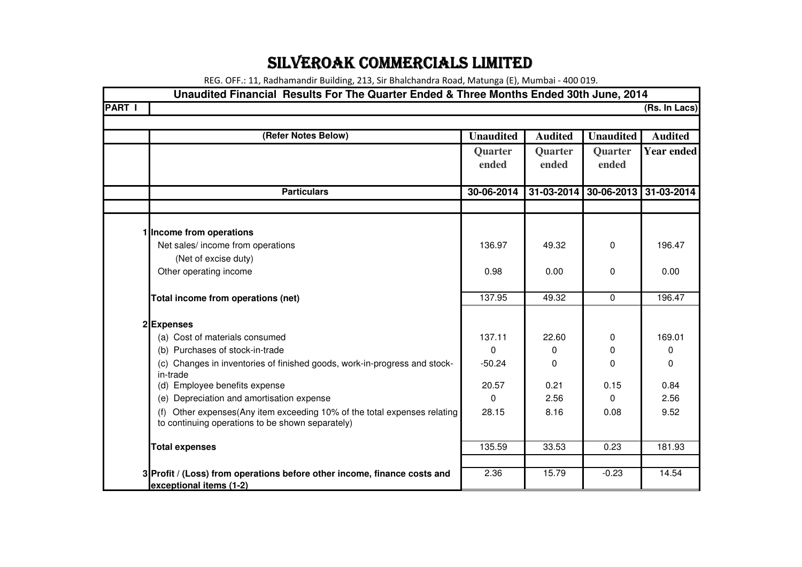## SILVEROAK COMMERCIALS LIMITED

REG. OFF.: 11, Radhamandir Building, 213, Sir Bhalchandra Road, Matunga (E), Mumbai - 400 019.

| Unaudited Financial Results For The Quarter Ended & Three Months Ended 30th June, 2014                                   |                  |                |                  |                   |
|--------------------------------------------------------------------------------------------------------------------------|------------------|----------------|------------------|-------------------|
| <b>PART I</b>                                                                                                            |                  |                |                  | (Rs. In Lacs)     |
|                                                                                                                          |                  |                |                  |                   |
| (Refer Notes Below)                                                                                                      | <b>Unaudited</b> | <b>Audited</b> | <b>Unaudited</b> | <b>Audited</b>    |
|                                                                                                                          | Quarter          | Quarter        | Quarter          | <b>Year ended</b> |
|                                                                                                                          | ended            | ended          | ended            |                   |
|                                                                                                                          |                  |                |                  |                   |
| <b>Particulars</b>                                                                                                       | 30-06-2014       | 31-03-2014     | 30-06-2013       | 31-03-2014        |
|                                                                                                                          |                  |                |                  |                   |
|                                                                                                                          |                  |                |                  |                   |
| 1 Income from operations                                                                                                 |                  |                |                  |                   |
| Net sales/ income from operations                                                                                        | 136.97           | 49.32          | $\Omega$         | 196.47            |
| (Net of excise duty)                                                                                                     |                  |                |                  |                   |
| Other operating income                                                                                                   | 0.98             | 0.00           | 0                | 0.00              |
| Total income from operations (net)                                                                                       | 137.95           | 49.32          | $\Omega$         | 196.47            |
| 2Expenses                                                                                                                |                  |                |                  |                   |
| (a) Cost of materials consumed                                                                                           | 137.11           | 22.60          | 0                | 169.01            |
| (b) Purchases of stock-in-trade                                                                                          | $\Omega$         | 0              | 0                | 0                 |
| (c) Changes in inventories of finished goods, work-in-progress and stock-<br>in-trade                                    | $-50.24$         | 0              | 0                | 0                 |
| (d) Employee benefits expense                                                                                            | 20.57            | 0.21           | 0.15             | 0.84              |
| (e) Depreciation and amortisation expense                                                                                | $\Omega$         | 2.56           | $\Omega$         | 2.56              |
| Other expenses(Any item exceeding 10% of the total expenses relating<br>to continuing operations to be shown separately) | 28.15            | 8.16           | 0.08             | 9.52              |
| <b>Total expenses</b>                                                                                                    | 135.59           | 33.53          | 0.23             | 181.93            |
|                                                                                                                          |                  |                |                  |                   |
| 3 Profit / (Loss) from operations before other income, finance costs and<br>exceptional items (1-2)                      | 2.36             | 15.79          | $-0.23$          | 14.54             |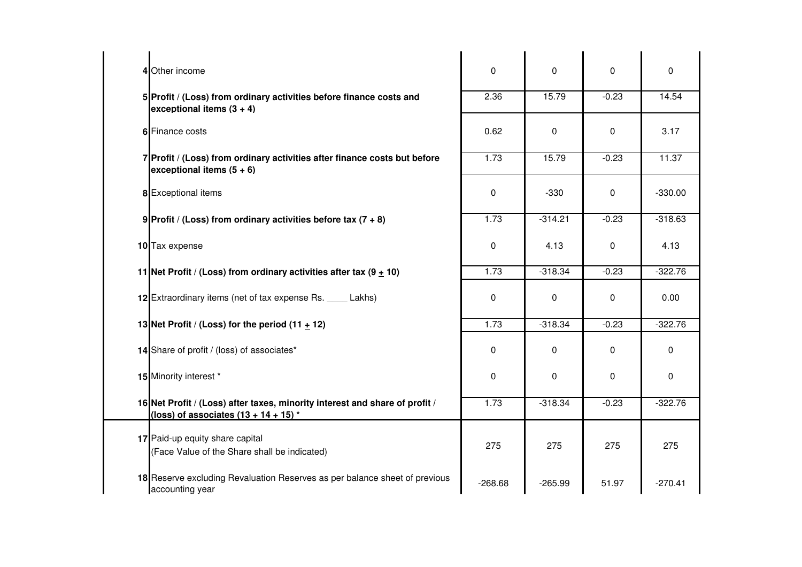| 4 Other income                                                                                                         | 0         | 0         | 0           | 0         |
|------------------------------------------------------------------------------------------------------------------------|-----------|-----------|-------------|-----------|
| 5 Profit / (Loss) from ordinary activities before finance costs and<br>exceptional items $(3 + 4)$                     | 2.36      | 15.79     | $-0.23$     | 14.54     |
| 6 Finance costs                                                                                                        | 0.62      | 0         | $\Omega$    | 3.17      |
| 7 Profit / (Loss) from ordinary activities after finance costs but before<br>exceptional items $(5 + 6)$               | 1.73      | 15.79     | $-0.23$     | 11.37     |
| 8 Exceptional items                                                                                                    | 0         | $-330$    | 0           | $-330.00$ |
| 9 Profit / (Loss) from ordinary activities before tax $(7 + 8)$                                                        | 1.73      | $-314.21$ | $-0.23$     | $-318.63$ |
| 10 Tax expense                                                                                                         | 0         | 4.13      | 0           | 4.13      |
| 11 Net Profit / (Loss) from ordinary activities after tax $(9 + 10)$                                                   | 1.73      | $-318.34$ | $-0.23$     | $-322.76$ |
| 12 Extraordinary items (net of tax expense Rs. _____ Lakhs)                                                            | 0         | 0         | $\mathbf 0$ | 0.00      |
| 13 Net Profit / (Loss) for the period (11 $\pm$ 12)                                                                    | 1.73      | $-318.34$ | $-0.23$     | $-322.76$ |
| 14 Share of profit / (loss) of associates*                                                                             | 0         | 0         | 0           | 0         |
| 15 Minority interest *                                                                                                 | 0         | 0         | 0           | $\Omega$  |
| 16 Net Profit / (Loss) after taxes, minority interest and share of profit /<br>(loss) of associates $(13 + 14 + 15)^*$ | 1.73      | $-318.34$ | $-0.23$     | $-322.76$ |
| 17 Paid-up equity share capital<br>(Face Value of the Share shall be indicated)                                        | 275       | 275       | 275         | 275       |
| 18 Reserve excluding Revaluation Reserves as per balance sheet of previous<br>accounting year                          | $-268.68$ | $-265.99$ | 51.97       | $-270.41$ |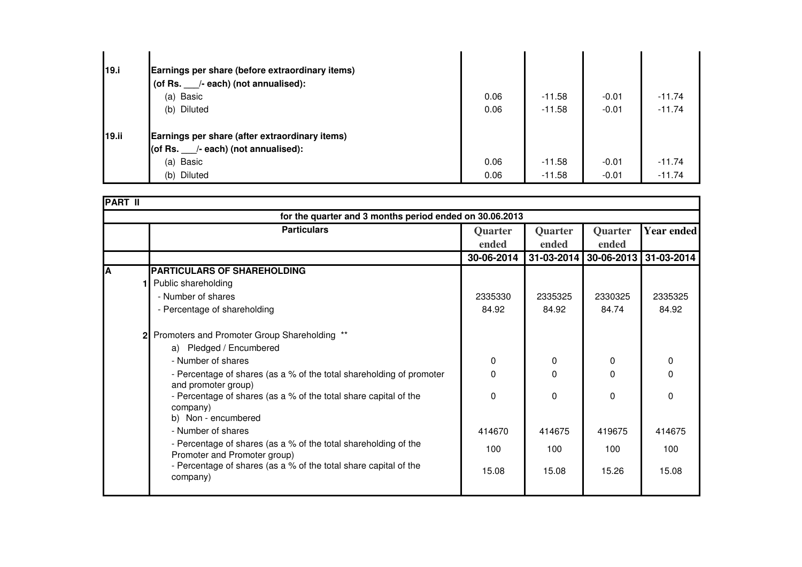| 19.i         | Earnings per share (before extraordinary items) |      |          |         |          |
|--------------|-------------------------------------------------|------|----------|---------|----------|
|              | (of Rs. /- each) (not annualised):              |      |          |         |          |
|              | (a) Basic                                       | 0.06 | $-11.58$ | $-0.01$ | $-11.74$ |
|              | (b) Diluted                                     | 0.06 | $-11.58$ | $-0.01$ | $-11.74$ |
| <b>19.ii</b> | Earnings per share (after extraordinary items)  |      |          |         |          |
|              | (of Rs. $\quad$ /- each) (not annualised):      |      |          |         |          |
|              | (a) Basic                                       | 0.06 | $-11.58$ | $-0.01$ | $-11.74$ |
|              | (b) Diluted                                     | 0.06 | $-11.58$ | $-0.01$ | $-11.74$ |

| <b>PART II</b>                                          |                                                                                                 |                  |                  |                         |                   |
|---------------------------------------------------------|-------------------------------------------------------------------------------------------------|------------------|------------------|-------------------------|-------------------|
| for the quarter and 3 months period ended on 30.06.2013 |                                                                                                 |                  |                  |                         |                   |
|                                                         | <b>Particulars</b>                                                                              | Quarter<br>ended | Quarter<br>ended | Quarter<br>ended        | <b>Year ended</b> |
|                                                         |                                                                                                 | 30-06-2014       |                  | 31-03-2014   30-06-2013 | 31-03-2014        |
| A                                                       | <b>PARTICULARS OF SHAREHOLDING</b>                                                              |                  |                  |                         |                   |
|                                                         | Public shareholding                                                                             |                  |                  |                         |                   |
|                                                         | - Number of shares                                                                              | 2335330          | 2335325          | 2330325                 | 2335325           |
|                                                         | - Percentage of shareholding                                                                    | 84.92            | 84.92            | 84.74                   | 84.92             |
|                                                         | 2 Promoters and Promoter Group Shareholding **                                                  |                  |                  |                         |                   |
|                                                         | a) Pledged / Encumbered                                                                         |                  |                  |                         |                   |
|                                                         | - Number of shares                                                                              | 0                | 0                | $\Omega$                | 0                 |
|                                                         | - Percentage of shares (as a % of the total shareholding of promoter<br>and promoter group)     | 0                | $\Omega$         | $\Omega$                | 0                 |
|                                                         | - Percentage of shares (as a % of the total share capital of the<br>company)                    | $\Omega$         | $\mathbf{0}$     | $\Omega$                | 0                 |
|                                                         | b) Non - encumbered                                                                             |                  |                  |                         |                   |
|                                                         | - Number of shares                                                                              | 414670           | 414675           | 419675                  | 414675            |
|                                                         | - Percentage of shares (as a % of the total shareholding of the<br>Promoter and Promoter group) | 100              | 100              | 100                     | 100               |
|                                                         | - Percentage of shares (as a % of the total share capital of the<br>company)                    | 15.08            | 15.08            | 15.26                   | 15.08             |
|                                                         |                                                                                                 |                  |                  |                         |                   |